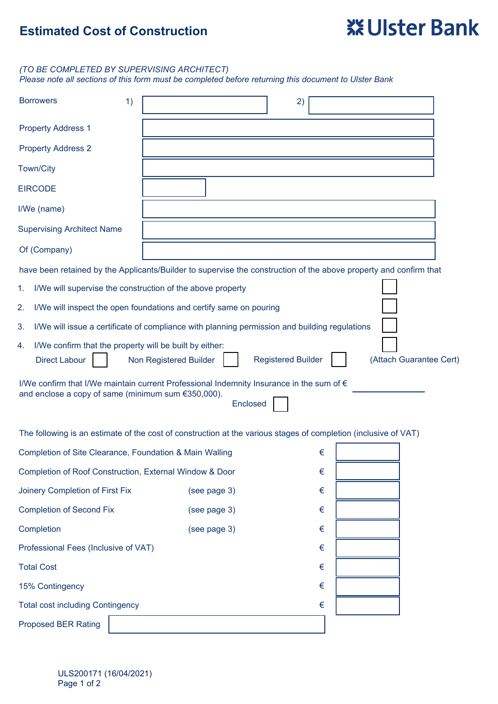# **Estimated Cost of Construction**

# **XX Ulster Bank**

### *(TO BE COMPLETED BY SUPERVISING ARCHITECT)*

*Please note all sections of this form must be completed before returning this document to Ulster Bank*

| <b>Borrowers</b>                                                                                                                                           | 1)                     |                                                                                               | 2)                        |       |                         |  |
|------------------------------------------------------------------------------------------------------------------------------------------------------------|------------------------|-----------------------------------------------------------------------------------------------|---------------------------|-------|-------------------------|--|
| <b>Property Address 1</b>                                                                                                                                  |                        |                                                                                               |                           |       |                         |  |
| <b>Property Address 2</b>                                                                                                                                  |                        |                                                                                               |                           |       |                         |  |
| Town/City                                                                                                                                                  |                        |                                                                                               |                           |       |                         |  |
| <b>EIRCODE</b>                                                                                                                                             |                        |                                                                                               |                           |       |                         |  |
| I/We (name)                                                                                                                                                |                        |                                                                                               |                           |       |                         |  |
| <b>Supervising Architect Name</b>                                                                                                                          |                        |                                                                                               |                           |       |                         |  |
| Of (Company)                                                                                                                                               |                        |                                                                                               |                           |       |                         |  |
| have been retained by the Applicants/Builder to supervise the construction of the above property and confirm that                                          |                        |                                                                                               |                           |       |                         |  |
| I/We will supervise the construction of the above property<br>1.                                                                                           |                        |                                                                                               |                           |       |                         |  |
| 2.<br>I/We will inspect the open foundations and certify same on pouring                                                                                   |                        |                                                                                               |                           |       |                         |  |
| 3.                                                                                                                                                         |                        | I/We will issue a certificate of compliance with planning permission and building regulations |                           |       |                         |  |
| I/We confirm that the property will be built by either:<br>4.<br><b>Direct Labour</b>                                                                      | Non Registered Builder |                                                                                               | <b>Registered Builder</b> |       | (Attach Guarantee Cert) |  |
| I/We confirm that I/We maintain current Professional Indemnity Insurance in the sum of €<br>and enclose a copy of same (minimum sum €350,000).<br>Enclosed |                        |                                                                                               |                           |       |                         |  |
| The following is an estimate of the cost of construction at the various stages of completion (inclusive of VAT)                                            |                        |                                                                                               |                           |       |                         |  |
| Completion of Site Clearance, Foundation & Main Walling                                                                                                    |                        |                                                                                               | €                         |       |                         |  |
| Completion of Roof Construction, External Window & Door                                                                                                    |                        |                                                                                               | €                         |       |                         |  |
| Joinery Completion of First Fix                                                                                                                            |                        | (see page 3)                                                                                  | $\in$                     |       |                         |  |
| <b>Completion of Second Fix</b>                                                                                                                            |                        | (see page 3)                                                                                  | $\in$                     |       |                         |  |
| Completion                                                                                                                                                 |                        | (see page 3)                                                                                  | $\in$                     |       |                         |  |
| Professional Fees (Inclusive of VAT)                                                                                                                       |                        |                                                                                               | $\in$                     |       |                         |  |
| <b>Total Cost</b>                                                                                                                                          |                        |                                                                                               | $\in$                     |       |                         |  |
| 15% Contingency                                                                                                                                            |                        |                                                                                               | $\in$                     |       |                         |  |
| <b>Total cost including Contingency</b>                                                                                                                    |                        |                                                                                               |                           | $\in$ |                         |  |
| <b>Proposed BER Rating</b>                                                                                                                                 |                        |                                                                                               |                           |       |                         |  |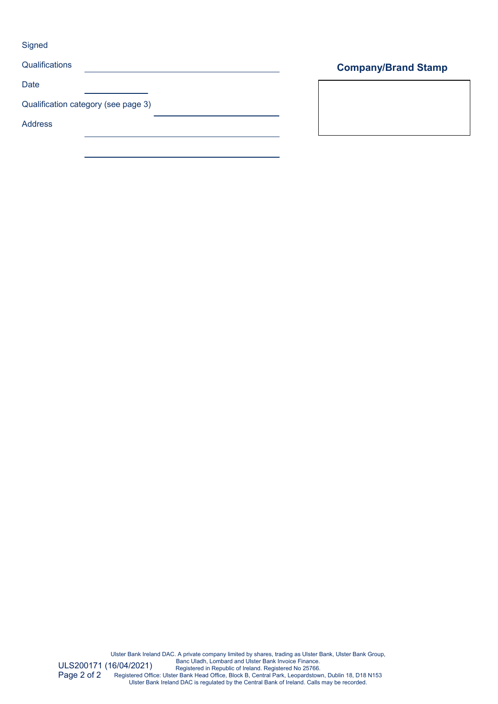**Signed** 

| Qualifications                      |  |
|-------------------------------------|--|
| Date                                |  |
| Qualification category (see page 3) |  |
| <b>Address</b>                      |  |

## **Company/Brand Stamp**